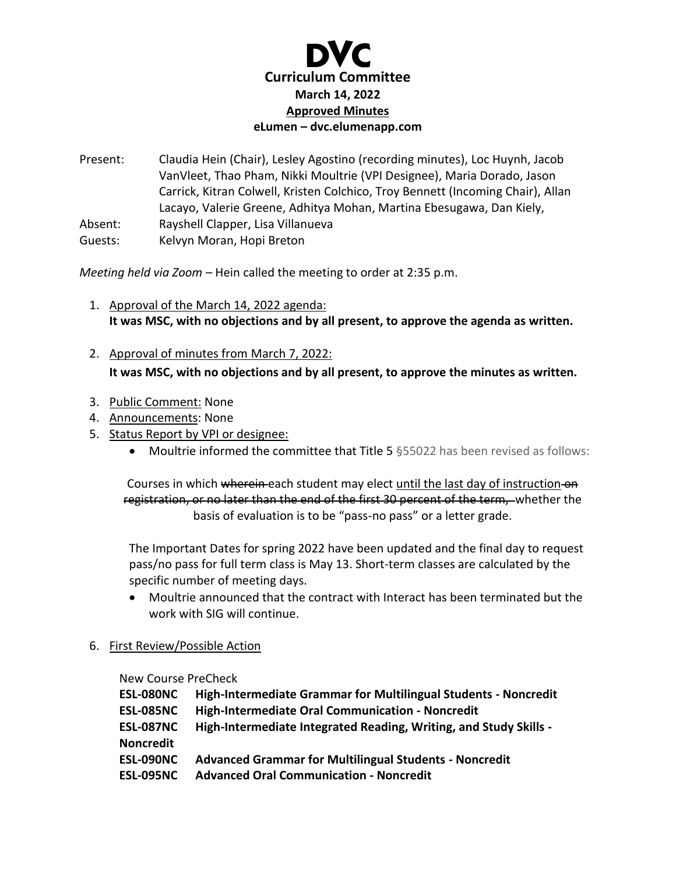

Present: Claudia Hein (Chair), Lesley Agostino (recording minutes), Loc Huynh, Jacob VanVleet, Thao Pham, Nikki Moultrie (VPI Designee), Maria Dorado, Jason Carrick, Kitran Colwell, Kristen Colchico, Troy Bennett (Incoming Chair), Allan Lacayo, Valerie Greene, Adhitya Mohan, Martina Ebesugawa, Dan Kiely, Absent: Rayshell Clapper, Lisa Villanueva

Guests: Kelvyn Moran, Hopi Breton

*Meeting held via Zoom –* Hein called the meeting to order at 2:35 p.m.

- 1. Approval of the March 14, 2022 agenda: **It was MSC, with no objections and by all present, to approve the agenda as written.**
- 2. Approval of minutes from March 7, 2022: **It was MSC, with no objections and by all present, to approve the minutes as written.**
- 3. Public Comment: None
- 4. Announcements: None
- 5. Status Report by VPI or designee:
	- Moultrie informed the committee that Title 5 §55022 has been revised as follows:

Courses in which wherein each student may elect until the last day of instruction on registration, or no later than the end of the first 30 percent of the term, whether the basis of evaluation is to be "pass-no pass" or a letter grade.

The Important Dates for spring 2022 have been updated and the final day to request pass/no pass for full term class is May 13. Short-term classes are calculated by the specific number of meeting days.

- Moultrie announced that the contract with Interact has been terminated but the work with SIG will continue.
- 6. First Review/Possible Action

New Course PreCheck

| <b>ESL-080NC</b> | High-Intermediate Grammar for Multilingual Students - Noncredit   |
|------------------|-------------------------------------------------------------------|
| <b>ESL-085NC</b> | High-Intermediate Oral Communication - Noncredit                  |
| <b>ESL-087NC</b> | High-Intermediate Integrated Reading, Writing, and Study Skills - |
| <b>Noncredit</b> |                                                                   |
| <b>ESL-090NC</b> | <b>Advanced Grammar for Multilingual Students - Noncredit</b>     |
| <b>ESL-095NC</b> | <b>Advanced Oral Communication - Noncredit</b>                    |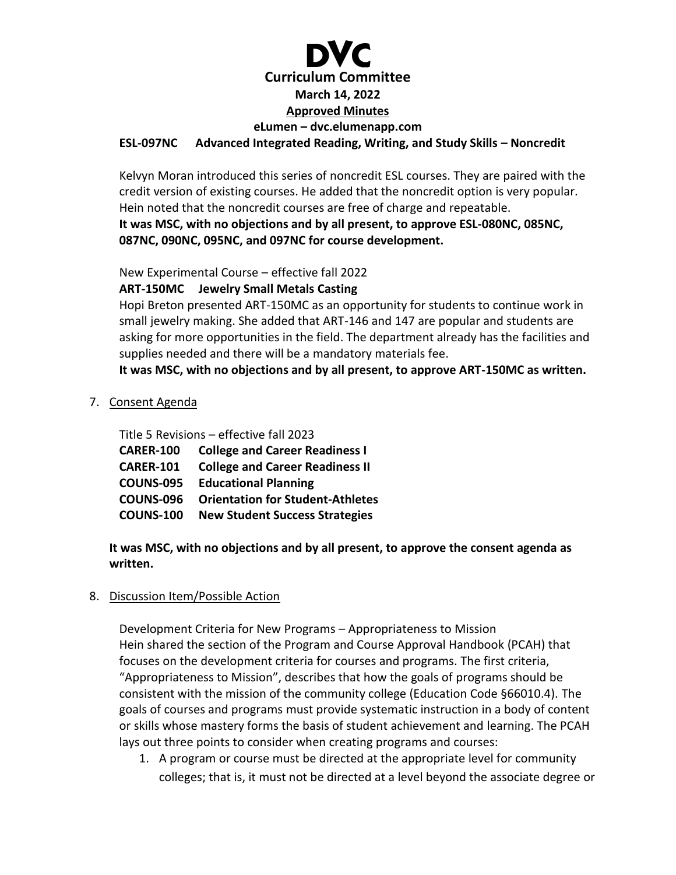# **Curriculum Committee March 14, 2022 Approved Minutes eLumen – dvc.elumenapp.com ESL-097NC Advanced Integrated Reading, Writing, and Study Skills – Noncredit**

## Kelvyn Moran introduced this series of noncredit ESL courses. They are paired with the credit version of existing courses. He added that the noncredit option is very popular. Hein noted that the noncredit courses are free of charge and repeatable. **It was MSC, with no objections and by all present, to approve ESL-080NC, 085NC, 087NC, 090NC, 095NC, and 097NC for course development.**

New Experimental Course – effective fall 2022

**ART-150MC Jewelry Small Metals Casting**

Hopi Breton presented ART-150MC as an opportunity for students to continue work in small jewelry making. She added that ART-146 and 147 are popular and students are asking for more opportunities in the field. The department already has the facilities and supplies needed and there will be a mandatory materials fee.

**It was MSC, with no objections and by all present, to approve ART-150MC as written.**

7. Consent Agenda

Title 5 Revisions – effective fall 2023

| <b>CARER-100</b> | <b>College and Career Readiness I</b>   |
|------------------|-----------------------------------------|
| <b>CARER-101</b> | <b>College and Career Readiness II</b>  |
| <b>COUNS-095</b> | <b>Educational Planning</b>             |
| <b>COUNS-096</b> | <b>Orientation for Student-Athletes</b> |
| <b>COUNS-100</b> | <b>New Student Success Strategies</b>   |

**It was MSC, with no objections and by all present, to approve the consent agenda as written.**

#### 8. Discussion Item/Possible Action

Development Criteria for New Programs – Appropriateness to Mission Hein shared the section of the Program and Course Approval Handbook (PCAH) that focuses on the development criteria for courses and programs. The first criteria, "Appropriateness to Mission", describes that how the goals of programs should be consistent with the mission of the community college (Education Code §66010.4). The goals of courses and programs must provide systematic instruction in a body of content or skills whose mastery forms the basis of student achievement and learning. The PCAH lays out three points to consider when creating programs and courses:

1. A program or course must be directed at the appropriate level for community colleges; that is, it must not be directed at a level beyond the associate degree or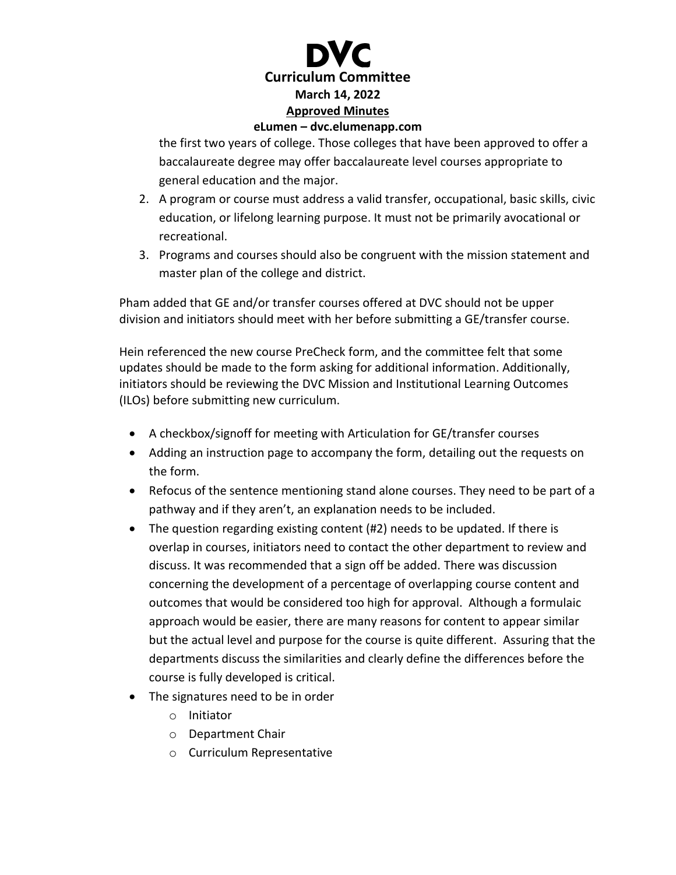

#### **eLumen – dvc.elumenapp.com**

the first two years of college. Those colleges that have been approved to offer a baccalaureate degree may offer baccalaureate level courses appropriate to general education and the major.

- 2. A program or course must address a valid transfer, occupational, basic skills, civic education, or lifelong learning purpose. It must not be primarily avocational or recreational.
- 3. Programs and courses should also be congruent with the mission statement and master plan of the college and district.

Pham added that GE and/or transfer courses offered at DVC should not be upper division and initiators should meet with her before submitting a GE/transfer course.

Hein referenced the new course PreCheck form, and the committee felt that some updates should be made to the form asking for additional information. Additionally, initiators should be reviewing the DVC Mission and Institutional Learning Outcomes (ILOs) before submitting new curriculum.

- A checkbox/signoff for meeting with Articulation for GE/transfer courses
- Adding an instruction page to accompany the form, detailing out the requests on the form.
- Refocus of the sentence mentioning stand alone courses. They need to be part of a pathway and if they aren't, an explanation needs to be included.
- The question regarding existing content (#2) needs to be updated. If there is overlap in courses, initiators need to contact the other department to review and discuss. It was recommended that a sign off be added. There was discussion concerning the development of a percentage of overlapping course content and outcomes that would be considered too high for approval. Although a formulaic approach would be easier, there are many reasons for content to appear similar but the actual level and purpose for the course is quite different. Assuring that the departments discuss the similarities and clearly define the differences before the course is fully developed is critical.
- The signatures need to be in order
	- o Initiator
	- o Department Chair
	- o Curriculum Representative